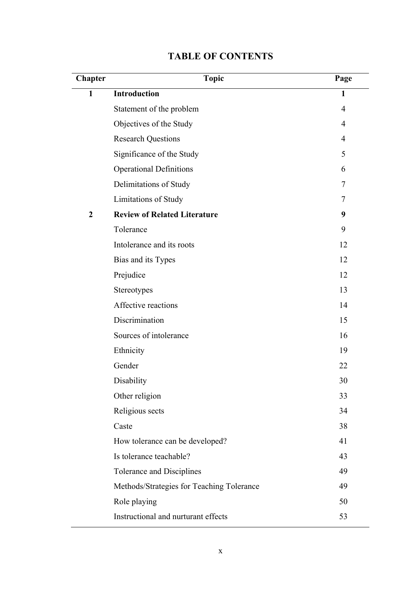| Chapter        | <b>Topic</b>                              | Page           |
|----------------|-------------------------------------------|----------------|
| $\mathbf{1}$   | <b>Introduction</b>                       | $\mathbf{1}$   |
|                | Statement of the problem                  | $\overline{4}$ |
|                | Objectives of the Study                   | $\overline{4}$ |
|                | <b>Research Questions</b>                 | $\overline{4}$ |
|                | Significance of the Study                 | 5              |
|                | <b>Operational Definitions</b>            | 6              |
|                | Delimitations of Study                    | 7              |
|                | Limitations of Study                      | 7              |
| $\overline{2}$ | <b>Review of Related Literature</b>       | 9              |
|                | Tolerance                                 | 9              |
|                | Intolerance and its roots                 | 12             |
|                | Bias and its Types                        | 12             |
|                | Prejudice                                 | 12             |
|                | Stereotypes                               | 13             |
|                | Affective reactions                       | 14             |
|                | Discrimination                            | 15             |
|                | Sources of intolerance                    | 16             |
|                | Ethnicity                                 | 19             |
|                | Gender                                    | 22             |
|                | Disability                                | 30             |
|                | Other religion                            | 33             |
|                | Religious sects                           | 34             |
|                | Caste                                     | 38             |
|                | How tolerance can be developed?           | 41             |
|                | Is tolerance teachable?                   | 43             |
|                | <b>Tolerance and Disciplines</b>          | 49             |
|                | Methods/Strategies for Teaching Tolerance | 49             |
|                | Role playing                              | 50             |
|                | Instructional and nurturant effects       | 53             |

## **TABLE OF CONTENTS**